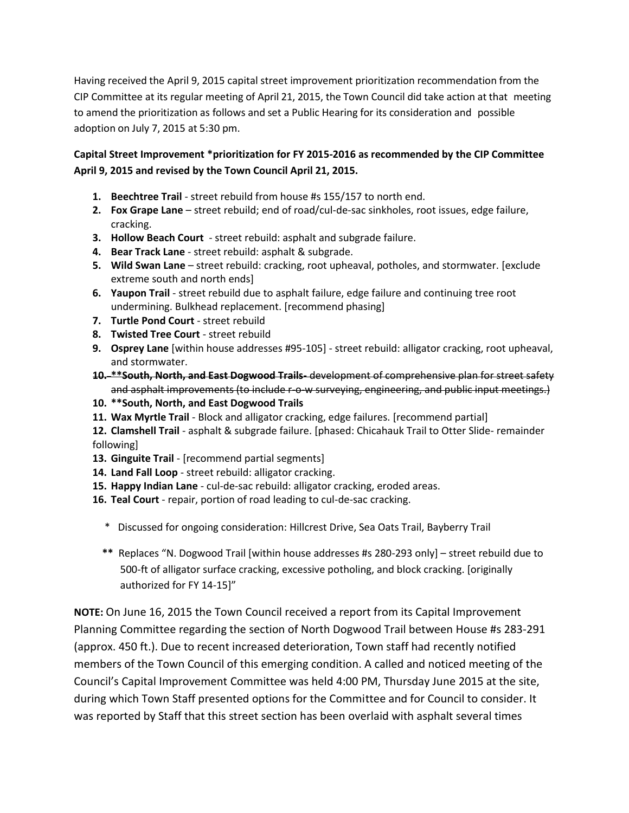Having received the April 9, 2015 capital street improvement prioritization recommendation from the CIP Committee at its regular meeting of April 21, 2015, the Town Council did take action at that meeting to amend the prioritization as follows and set a Public Hearing for its consideration and possible adoption on July 7, 2015 at 5:30 pm.

## **Capital Street Improvement \*prioritization for FY 2015-2016 as recommended by the CIP Committee April 9, 2015 and revised by the Town Council April 21, 2015.**

- **1. Beechtree Trail** street rebuild from house #s 155/157 to north end.
- **2. Fox Grape Lane** street rebuild; end of road/cul-de-sac sinkholes, root issues, edge failure, cracking.
- **3. Hollow Beach Court** street rebuild: asphalt and subgrade failure.
- **4. Bear Track Lane** street rebuild: asphalt & subgrade.
- **5. Wild Swan Lane** street rebuild: cracking, root upheaval, potholes, and stormwater. [exclude extreme south and north ends]
- **6. Yaupon Trail** street rebuild due to asphalt failure, edge failure and continuing tree root undermining. Bulkhead replacement. [recommend phasing]
- **7. Turtle Pond Court** street rebuild
- **8. Twisted Tree Court** street rebuild
- **9. Osprey Lane** [within house addresses #95-105] street rebuild: alligator cracking, root upheaval, and stormwater.
- **10. \*\*South, North, and East Dogwood Trails-** development of comprehensive plan for street safety and asphalt improvements (to include r-o-w surveying, engineering, and public input meetings.)
- **10. \*\*South, North, and East Dogwood Trails**
- **11. Wax Myrtle Trail** Block and alligator cracking, edge failures. [recommend partial]
- **12. Clamshell Trail** asphalt & subgrade failure. [phased: Chicahauk Trail to Otter Slide- remainder following]
- **13. Ginguite Trail** [recommend partial segments]
- **14. Land Fall Loop** street rebuild: alligator cracking.
- **15. Happy Indian Lane** cul-de-sac rebuild: alligator cracking, eroded areas.
- **16. Teal Court** repair, portion of road leading to cul-de-sac cracking.
	- \* Discussed for ongoing consideration: Hillcrest Drive, Sea Oats Trail, Bayberry Trail
	- **\*\*** Replaces "N. Dogwood Trail [within house addresses #s 280-293 only] street rebuild due to 500-ft of alligator surface cracking, excessive potholing, and block cracking. [originally authorized for FY 14-15]"

**NOTE:** On June 16, 2015 the Town Council received a report from its Capital Improvement Planning Committee regarding the section of North Dogwood Trail between House #s 283-291 (approx. 450 ft.). Due to recent increased deterioration, Town staff had recently notified members of the Town Council of this emerging condition. A called and noticed meeting of the Council's Capital Improvement Committee was held 4:00 PM, Thursday June 2015 at the site, during which Town Staff presented options for the Committee and for Council to consider. It was reported by Staff that this street section has been overlaid with asphalt several times